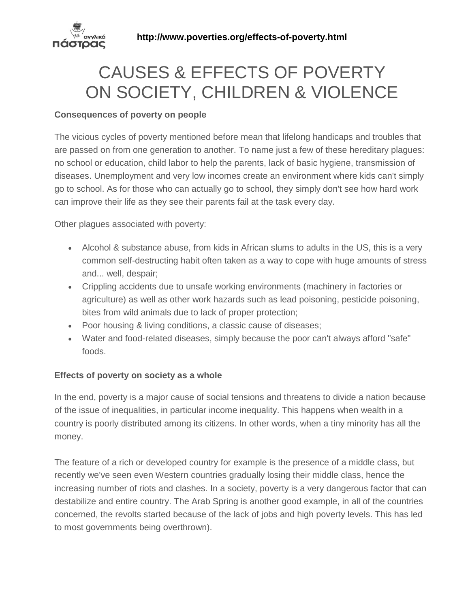

# CAUSES & EFFECTS OF POVERTY ON SOCIETY, CHILDREN & VIOLENCE

## **Consequences of poverty on people**

The vicious cycles of poverty mentioned before mean that lifelong handicaps and troubles that are passed on from one generation to another. To name just a few of these hereditary plagues: no school or education, child labor to help the parents, lack of basic hygiene, transmission of diseases. Unemployment and very low incomes create an environment where kids can't simply go to school. As for those who can actually go to school, they simply don't see how hard work can improve their life as they see their parents fail at the task every day.

Other plagues associated with poverty:

- Alcohol & substance abuse, from kids in African slums to adults in the US, this is a very common self-destructing habit often taken as a way to cope with huge amounts of stress and... well, despair;
- Crippling accidents due to unsafe working environments (machinery in factories or agriculture) as well as other work hazards such as lead poisoning, pesticide poisoning, bites from wild animals due to lack of proper protection;
- Poor housing & living conditions, a classic cause of diseases;
- Water and food-related diseases, simply because the poor can't always afford "safe" foods.

## **Effects of poverty on society as a whole**

In the end, poverty is a major cause of social tensions and threatens to divide a nation because of the issue of inequalities, in particular income inequality. This happens when wealth in a country is poorly distributed among its citizens. In other words, when a tiny minority has all the money.

The feature of a rich or developed country for example is the presence of a middle class, but recently we've seen even Western countries gradually losing their middle class, hence the increasing number of riots and clashes. In a society, poverty is a very dangerous factor that can destabilize and entire country. The Arab Spring is another good example, in all of the countries concerned, the revolts started because of the lack of jobs and high poverty levels. This has led to most governments being overthrown).